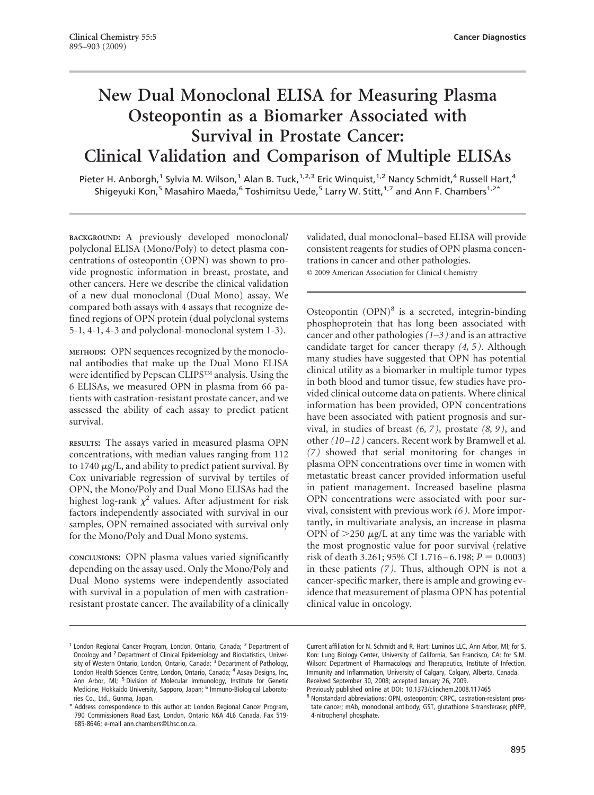# **New Dual Monoclonal ELISA for Measuring Plasma Osteopontin as a Biomarker Associated with Survival in Prostate Cancer: Clinical Validation and Comparison of Multiple ELISAs**

Pieter H. Anborgh,<sup>1</sup> Sylvia M. Wilson,<sup>1</sup> Alan B. Tuck,<sup>1,2,3</sup> Eric Winquist,<sup>1,2</sup> Nancy Schmidt,<sup>4</sup> Russell Hart,<sup>4</sup> Shigeyuki Kon,<sup>5</sup> Masahiro Maeda,<sup>6</sup> Toshimitsu Uede,<sup>5</sup> Larry W. Stitt,<sup>1,7</sup> and Ann F. Chambers<sup>1,2\*</sup>

**BACKGROUND:** A previously developed monoclonal/ polyclonal ELISA (Mono/Poly) to detect plasma concentrations of osteopontin (OPN) was shown to provide prognostic information in breast, prostate, and other cancers. Here we describe the clinical validation of a new dual monoclonal (Dual Mono) assay. We compared both assays with 4 assays that recognize defined regions of OPN protein (dual polyclonal systems 5-1, 4-1, 4-3 and polyclonal-monoclonal system 1-3).

**METHODS:** OPN sequences recognized by the monoclonal antibodies that make up the Dual Mono ELISA were identified by Pepscan CLIPS™ analysis. Using the 6 ELISAs, we measured OPN in plasma from 66 patients with castration-resistant prostate cancer, and we assessed the ability of each assay to predict patient survival.

**RESULTS:** The assays varied in measured plasma OPN concentrations, with median values ranging from 112 to  $1740 \mu g/L$ , and ability to predict patient survival. By Cox univariable regression of survival by tertiles of OPN, the Mono/Poly and Dual Mono ELISAs had the highest log-rank  $\chi^2$  values. After adjustment for risk factors independently associated with survival in our samples, OPN remained associated with survival only for the Mono/Poly and Dual Mono systems.

**CONCLUSIONS:** OPN plasma values varied significantly depending on the assay used. Only the Mono/Poly and Dual Mono systems were independently associated with survival in a population of men with castrationresistant prostate cancer. The availability of a clinically validated, dual monoclonal– based ELISA will provide consistent reagents for studies of OPN plasma concentrations in cancer and other pathologies. © 2009 American Association for Clinical Chemistry

Osteopontin  $(DPN)^8$  is a secreted, integrin-binding phosphoprotein that has long been associated with cancer and other pathologies *(1–3 )* and is an attractive candidate target for cancer therapy *(4, 5 )*. Although many studies have suggested that OPN has potential clinical utility as a biomarker in multiple tumor types in both blood and tumor tissue, few studies have provided clinical outcome data on patients. Where clinical information has been provided, OPN concentrations have been associated with patient prognosis and survival, in studies of breast *(6, 7 )*, prostate *(8, 9 )*, and other *(10 –12 )* cancers. Recent work by Bramwell et al. *(7 )* showed that serial monitoring for changes in plasma OPN concentrations over time in women with metastatic breast cancer provided information useful in patient management. Increased baseline plasma OPN concentrations were associated with poor survival, consistent with previous work *(6 )*. More importantly, in multivariate analysis, an increase in plasma OPN of  $>$ 250  $\mu$ g/L at any time was the variable with the most prognostic value for poor survival (relative risk of death 3.261; 95% CI 1.716–6.198;  $P = 0.0003$ ) in these patients *(7 )*. Thus, although OPN is not a cancer-specific marker, there is ample and growing evidence that measurement of plasma OPN has potential clinical value in oncology.

<sup>&</sup>lt;sup>1</sup> London Regional Cancer Program, London, Ontario, Canada; <sup>2</sup> Department of Oncology and <sup>7</sup> Department of Clinical Epidemiology and Biostatistics, University of Western Ontario, London, Ontario, Canada; <sup>3</sup> Department of Pathology, London Health Sciences Centre, London, Ontario, Canada; <sup>4</sup> Assay Designs, Inc, Ann Arbor, MI; <sup>5</sup> Division of Molecular Immunology, Institute for Genetic Medicine, Hokkaido University, Sapporo, Japan; <sup>6</sup> Immuno-Biological Laboratories Co., Ltd., Gunma, Japan.

<sup>\*</sup> Address correspondence to this author at: London Regional Cancer Program, 790 Commissioners Road East, London, Ontario N6A 4L6 Canada. Fax 519- 685-8646; e-mail ann.chambers@Lhsc.on.ca.

Current affiliation for N. Schmidt and R. Hart: Luminos LLC, Ann Arbor, MI; for S. Kon: Lung Biology Center, University of California, San Francisco, CA; for S.M. Wilson: Department of Pharmacology and Therapeutics, Institute of Infection, Immunity and Inflammation, University of Calgary, Calgary, Alberta, Canada. Received September 30, 2008; accepted January 26, 2009.

Previously published online at DOI: 10.1373/clinchem.2008.117465

<sup>&</sup>lt;sup>8</sup> Nonstandard abbreviations: OPN, osteopontin; CRPC, castration-resistant prostate cancer; mAb, monoclonal antibody; GST, glutathione S-transferase; pNPP, 4-nitrophenyl phosphate.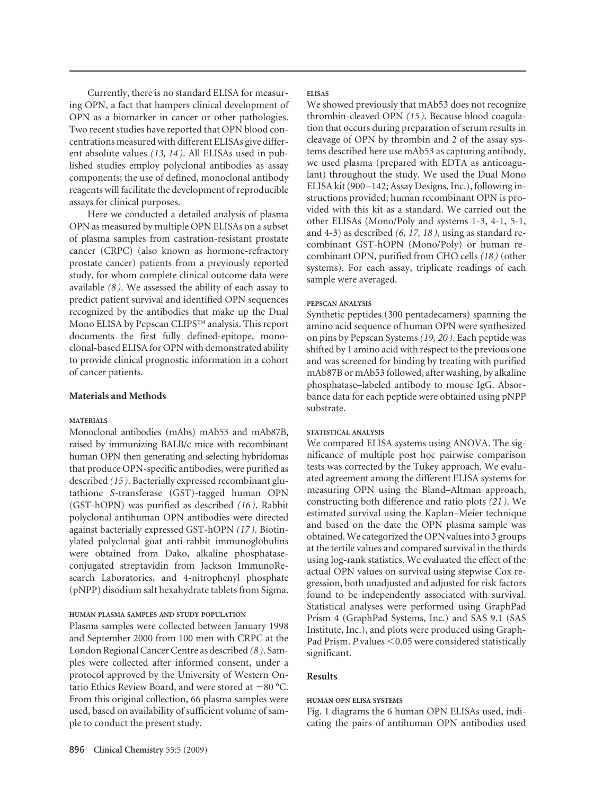Currently, there is no standard ELISA for measuring OPN, a fact that hampers clinical development of OPN as a biomarker in cancer or other pathologies. Two recent studies have reported that OPN blood concentrations measured with different ELISAs give different absolute values *(13, 14 )*. All ELISAs used in published studies employ polyclonal antibodies as assay components; the use of defined, monoclonal antibody reagents will facilitate the development of reproducible assays for clinical purposes.

Here we conducted a detailed analysis of plasma OPN as measured by multiple OPN ELISAs on a subset of plasma samples from castration-resistant prostate cancer (CRPC) (also known as hormone-refractory prostate cancer) patients from a previously reported study, for whom complete clinical outcome data were available *(8 )*. We assessed the ability of each assay to predict patient survival and identified OPN sequences recognized by the antibodies that make up the Dual Mono ELISA by Pepscan CLIPS™ analysis. This report documents the first fully defined-epitope, monoclonal-based ELISA for OPN with demonstrated ability to provide clinical prognostic information in a cohort of cancer patients.

# **Materials and Methods**

#### **MATERIALS**

Monoclonal antibodies (mAbs) mAb53 and mAb87B, raised by immunizing BALB/c mice with recombinant human OPN then generating and selecting hybridomas that produce OPN-specific antibodies, were purified as described *(15 )*. Bacterially expressed recombinant glutathione *S*-transferase (GST)-tagged human OPN (GST-hOPN) was purified as described *(16 )*. Rabbit polyclonal antihuman OPN antibodies were directed against bacterially expressed GST-hOPN *(17 )*. Biotinylated polyclonal goat anti-rabbit immunoglobulins were obtained from Dako, alkaline phosphataseconjugated streptavidin from Jackson ImmunoResearch Laboratories, and 4-nitrophenyl phosphate (pNPP) disodium salt hexahydrate tablets from Sigma.

### **HUMAN PLASMA SAMPLES AND STUDY POPULATION**

Plasma samples were collected between January 1998 and September 2000 from 100 men with CRPC at the London Regional Cancer Centre as described *(8 )*. Samples were collected after informed consent, under a protocol approved by the University of Western Ontario Ethics Review Board, and were stored at  $-80$  °C. From this original collection, 66 plasma samples were used, based on availability of sufficient volume of sample to conduct the present study.

We showed previously that mAb53 does not recognize thrombin-cleaved OPN *(15 )*. Because blood coagulation that occurs during preparation of serum results in cleavage of OPN by thrombin and 2 of the assay systems described here use mAb53 as capturing antibody, we used plasma (prepared with EDTA as anticoagulant) throughout the study. We used the Dual Mono ELISA kit (900 –142; Assay Designs, Inc.), following instructions provided; human recombinant OPN is provided with this kit as a standard. We carried out the other ELISAs (Mono/Poly and systems 1-3, 4-1, 5-1, and 4-3) as described *(6, 17, 18 )*, using as standard recombinant GST-hOPN (Mono/Poly) or human recombinant OPN, purified from CHO cells *(18 )* (other systems). For each assay, triplicate readings of each sample were averaged.

#### **PEPSCAN ANALYSIS**

Synthetic peptides (300 pentadecamers) spanning the amino acid sequence of human OPN were synthesized on pins by Pepscan Systems *(19, 20 )*. Each peptide was shifted by 1 amino acid with respect to the previous one and was screened for binding by treating with purified mAb87B or mAb53 followed, after washing, by alkaline phosphatase–labeled antibody to mouse IgG. Absorbance data for each peptide were obtained using pNPP substrate.

#### **STATISTICAL ANALYSIS**

We compared ELISA systems using ANOVA. The significance of multiple post hoc pairwise comparison tests was corrected by the Tukey approach. We evaluated agreement among the different ELISA systems for measuring OPN using the Bland–Altman approach, constructing both difference and ratio plots *(21 )*. We estimated survival using the Kaplan–Meier technique and based on the date the OPN plasma sample was obtained. We categorized the OPN values into 3 groups at the tertile values and compared survival in the thirds using log-rank statistics. We evaluated the effect of the actual OPN values on survival using stepwise Cox regression, both unadjusted and adjusted for risk factors found to be independently associated with survival. Statistical analyses were performed using GraphPad Prism 4 (GraphPad Systems, Inc.) and SAS 9.1 (SAS Institute, Inc.), and plots were produced using Graph-Pad Prism. *P* values <0.05 were considered statistically significant.

# **Results**

#### **HUMAN OPN ELISA SYSTEMS**

Fig. 1 diagrams the 6 human OPN ELISAs used, indicating the pairs of antihuman OPN antibodies used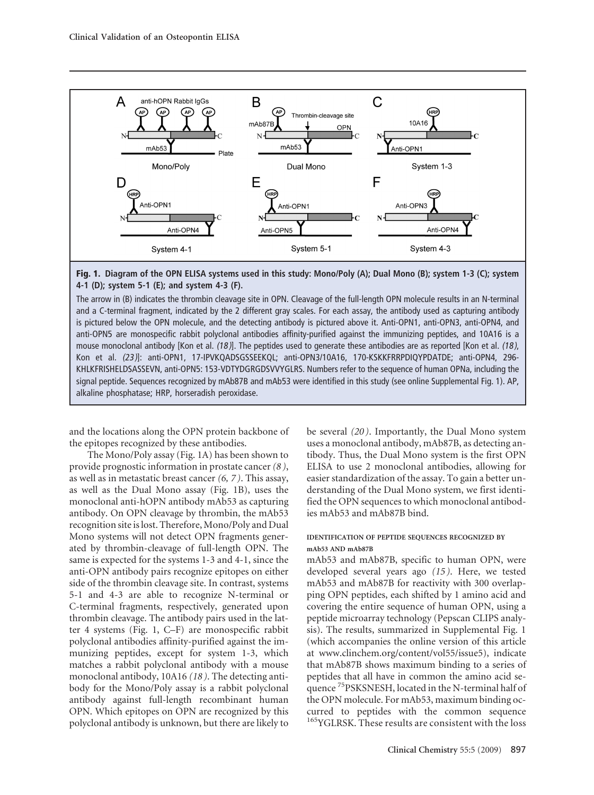

# **Fig. 1. Diagram of the OPN ELISA systems used in this study: Mono/Poly (A); Dual Mono (B); system 1-3 (C); system 4-1 (D); system 5-1 (E); and system 4-3 (F).**

The arrow in (B) indicates the thrombin cleavage site in OPN. Cleavage of the full-length OPN molecule results in an N-terminal and a C-terminal fragment, indicated by the 2 different gray scales. For each assay, the antibody used as capturing antibody is pictured below the OPN molecule, and the detecting antibody is pictured above it. Anti-OPN1, anti-OPN3, anti-OPN4, and anti-OPN5 are monospecific rabbit polyclonal antibodies affinity-purified against the immunizing peptides, and 10A16 is a mouse monoclonal antibody [Kon et al. (18)]. The peptides used to generate these antibodies are as reported [Kon et al. (18), Kon et al. (23)]: anti-OPN1, 17-IPVKQADSGSSEEKQL; anti-OPN3/10A16, 170-KSKKFRRPDIQYPDATDE; anti-OPN4, 296- KHLKFRISHELDSASSEVN, anti-OPN5: 153-VDTYDGRGDSVVYGLRS. Numbers refer to the sequence of human OPNa, including the signal peptide. Sequences recognized by mAb87B and mAb53 were identified in this study (see online Supplemental Fig. 1). AP, alkaline phosphatase; HRP, horseradish peroxidase.

and the locations along the OPN protein backbone of the epitopes recognized by these antibodies.

The Mono/Poly assay (Fig. 1A) has been shown to provide prognostic information in prostate cancer *(8 )*, as well as in metastatic breast cancer *(6, 7 )*. This assay, as well as the Dual Mono assay (Fig. 1B), uses the monoclonal anti-hOPN antibody mAb53 as capturing antibody. On OPN cleavage by thrombin, the mAb53 recognition site is lost. Therefore, Mono/Poly and Dual Mono systems will not detect OPN fragments generated by thrombin-cleavage of full-length OPN. The same is expected for the systems 1-3 and 4-1, since the anti-OPN antibody pairs recognize epitopes on either side of the thrombin cleavage site. In contrast, systems 5-1 and 4-3 are able to recognize N-terminal or C-terminal fragments, respectively, generated upon thrombin cleavage. The antibody pairs used in the latter 4 systems (Fig. 1, C–F) are monospecific rabbit polyclonal antibodies affinity-purified against the immunizing peptides, except for system 1-3, which matches a rabbit polyclonal antibody with a mouse monoclonal antibody, 10A16 *(18 )*. The detecting antibody for the Mono/Poly assay is a rabbit polyclonal antibody against full-length recombinant human OPN. Which epitopes on OPN are recognized by this polyclonal antibody is unknown, but there are likely to be several *(20 )*. Importantly, the Dual Mono system uses a monoclonal antibody, mAb87B, as detecting antibody. Thus, the Dual Mono system is the first OPN ELISA to use 2 monoclonal antibodies, allowing for easier standardization of the assay. To gain a better understanding of the Dual Mono system, we first identified the OPN sequences to which monoclonal antibodies mAb53 and mAb87B bind.

## **IDENTIFICATION OF PEPTIDE SEQUENCES RECOGNIZED BY mAb53 AND mAb87B**

mAb53 and mAb87B, specific to human OPN, were developed several years ago *(15 )*. Here, we tested mAb53 and mAb87B for reactivity with 300 overlapping OPN peptides, each shifted by 1 amino acid and covering the entire sequence of human OPN, using a peptide microarray technology (Pepscan CLIPS analysis). The results, summarized in Supplemental Fig. 1 (which accompanies the online version of this article at www.clinchem.org/content/vol55/issue5), indicate that mAb87B shows maximum binding to a series of peptides that all have in common the amino acid sequence <sup>75</sup>PSKSNESH, located in the N-terminal half of the OPN molecule. For mAb53, maximum binding occurred to peptides with the common sequence <sup>165</sup>YGLRSK. These results are consistent with the loss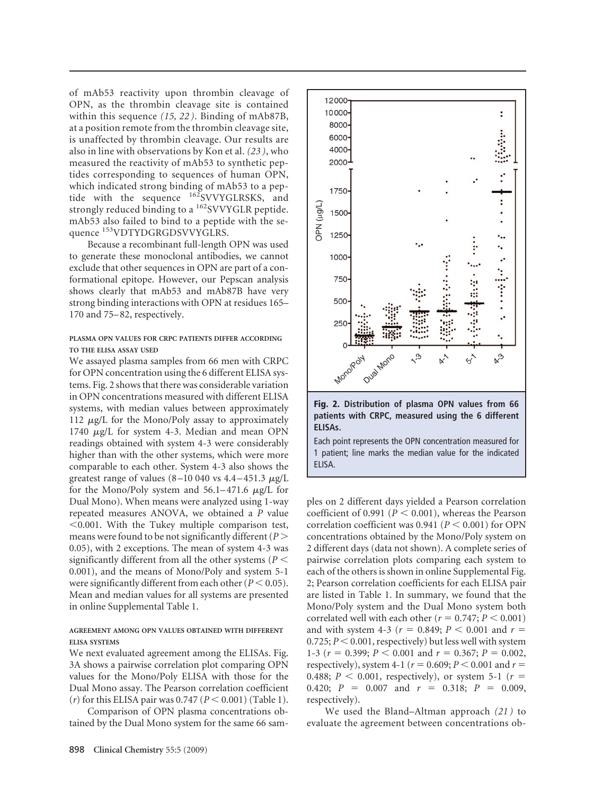of mAb53 reactivity upon thrombin cleavage of OPN, as the thrombin cleavage site is contained within this sequence *(15, 22 )*. Binding of mAb87B, at a position remote from the thrombin cleavage site, is unaffected by thrombin cleavage. Our results are also in line with observations by Kon et al. *(23 )*, who measured the reactivity of mAb53 to synthetic peptides corresponding to sequences of human OPN, which indicated strong binding of mAb53 to a peptide with the sequence <sup>162</sup>SVVYGLRSKS, and strongly reduced binding to a <sup>162</sup>SVVYGLR peptide. mAb53 also failed to bind to a peptide with the sequence <sup>153</sup>VDTYDGRGDSVVYGLRS.

Because a recombinant full-length OPN was used to generate these monoclonal antibodies, we cannot exclude that other sequences in OPN are part of a conformational epitope. However, our Pepscan analysis shows clearly that mAb53 and mAb87B have very strong binding interactions with OPN at residues 165– 170 and 75–82, respectively.

## **PLASMA OPN VALUES FOR CRPC PATIENTS DIFFER ACCORDING TO THE ELISA ASSAY USED**

We assayed plasma samples from 66 men with CRPC for OPN concentration using the 6 different ELISA systems. Fig. 2 shows that there was considerable variation in OPN concentrations measured with different ELISA systems, with median values between approximately 112  $\mu$ g/L for the Mono/Poly assay to approximately 1740  $\mu$ g/L for system 4-3. Median and mean OPN readings obtained with system 4-3 were considerably higher than with the other systems, which were more comparable to each other. System 4-3 also shows the greatest range of values  $(8-10040 \text{ vs } 4.4-451.3 \text{ }\mu\text{g/L})$ for the Mono/Poly system and  $56.1-471.6 \mu g/L$  for Dual Mono). When means were analyzed using 1-way repeated measures ANOVA, we obtained a *P* value  $< 0.001$ . With the Tukey multiple comparison test, means were found to be not significantly different (*P* 0.05), with 2 exceptions. The mean of system 4-3 was significantly different from all the other systems (*P* 0.001), and the means of Mono/Poly and system 5-1 were significantly different from each other ( $P < 0.05$ ). Mean and median values for all systems are presented in online Supplemental Table 1.

# **AGREEMENT AMONG OPN VALUES OBTAINED WITH DIFFERENT ELISA SYSTEMS**

We next evaluated agreement among the ELISAs. Fig. 3A shows a pairwise correlation plot comparing OPN values for the Mono/Poly ELISA with those for the Dual Mono assay. The Pearson correlation coefficient (*r*) for this ELISA pair was  $0.747$  ( $P < 0.001$ ) (Table 1).

Comparison of OPN plasma concentrations obtained by the Dual Mono system for the same 66 sam-





Each point represents the OPN concentration measured for 1 patient; line marks the median value for the indicated ELISA.

ples on 2 different days yielded a Pearson correlation coefficient of 0.991 ( $P < 0.001$ ), whereas the Pearson correlation coefficient was  $0.941$  ( $P < 0.001$ ) for OPN concentrations obtained by the Mono/Poly system on 2 different days (data not shown). A complete series of pairwise correlation plots comparing each system to each of the others is shown in online Supplemental Fig. 2; Pearson correlation coefficients for each ELISA pair are listed in Table 1. In summary, we found that the Mono/Poly system and the Dual Mono system both correlated well with each other ( $r = 0.747; P < 0.001$ ) and with system 4-3 ( $r = 0.849$ ;  $P < 0.001$  and  $r =$  $0.725; P \leq 0.001$ , respectively) but less well with system 1-3 ( $r = 0.399$ ;  $P \le 0.001$  and  $r = 0.367$ ;  $P = 0.002$ , respectively), system 4-1 ( $r = 0.609; P < 0.001$  and  $r =$ 0.488;  $P < 0.001$ , respectively), or system 5-1 ( $r =$ 0.420;  $P = 0.007$  and  $r = 0.318$ ;  $P = 0.009$ , respectively).

We used the Bland–Altman approach *(21 )* to evaluate the agreement between concentrations ob-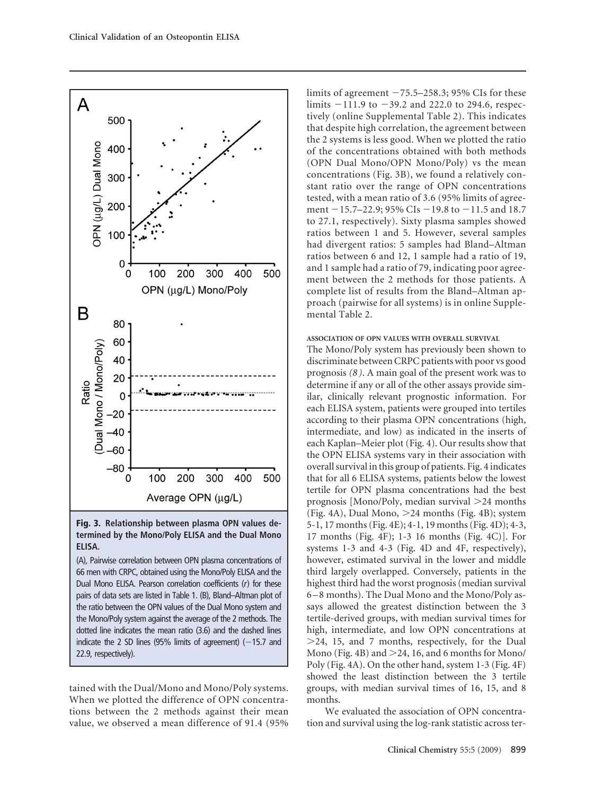

**Fig. 3. Relationship between plasma OPN values determined by the Mono/Poly ELISA and the Dual Mono ELISA.**

(A), Pairwise correlation between OPN plasma concentrations of 66 men with CRPC, obtained using the Mono/Poly ELISA and the Dual Mono ELISA. Pearson correlation coefficients (r) for these pairs of data sets are listed in Table 1. (B), Bland–Altman plot of the ratio between the OPN values of the Dual Mono system and the Mono/Poly system against the average of the 2 methods. The dotted line indicates the mean ratio (3.6) and the dashed lines indicate the 2 SD lines (95% limits of agreement) ( $-15.7$  and 22.9, respectively).

tained with the Dual/Mono and Mono/Poly systems. When we plotted the difference of OPN concentrations between the 2 methods against their mean value, we observed a mean difference of 91.4 (95% limits of agreement  $-75.5-258.3$ ; 95% CIs for these limits  $-111.9$  to  $-39.2$  and 222.0 to 294.6, respectively (online Supplemental Table 2). This indicates that despite high correlation, the agreement between the 2 systems is less good. When we plotted the ratio of the concentrations obtained with both methods (OPN Dual Mono/OPN Mono/Poly) vs the mean concentrations (Fig. 3B), we found a relatively constant ratio over the range of OPN concentrations tested, with a mean ratio of 3.6 (95% limits of agreement  $-15.7-22.9$ ; 95% CIs  $-19.8$  to  $-11.5$  and 18.7 to 27.1, respectively). Sixty plasma samples showed ratios between 1 and 5. However, several samples had divergent ratios: 5 samples had Bland–Altman ratios between 6 and 12, 1 sample had a ratio of 19, and 1 sample had a ratio of 79, indicating poor agreement between the 2 methods for those patients. A complete list of results from the Bland–Altman approach (pairwise for all systems) is in online Supplemental Table 2.

#### **ASSOCIATION OF OPN VALUES WITH OVERALL SURVIVAL**

The Mono/Poly system has previously been shown to discriminate between CRPC patients with poor vs good prognosis *(8 )*. A main goal of the present work was to determine if any or all of the other assays provide similar, clinically relevant prognostic information. For each ELISA system, patients were grouped into tertiles according to their plasma OPN concentrations (high, intermediate, and low) as indicated in the inserts of each Kaplan–Meier plot (Fig. 4). Our results show that the OPN ELISA systems vary in their association with overall survival in this group of patients. Fig. 4 indicates that for all 6 ELISA systems, patients below the lowest tertile for OPN plasma concentrations had the best prognosis [Mono/Poly, median survival 24 months (Fig. 4A), Dual Mono, 24 months (Fig. 4B); system 5-1, 17 months (Fig. 4E); 4-1, 19 months (Fig. 4D); 4-3, 17 months (Fig. 4F); 1-3 16 months (Fig. 4C)]. For systems 1-3 and 4-3 (Fig. 4D and 4F, respectively), however, estimated survival in the lower and middle third largely overlapped. Conversely, patients in the highest third had the worst prognosis (median survival 6 –8 months). The Dual Mono and the Mono/Poly assays allowed the greatest distinction between the 3 tertile-derived groups, with median survival times for high, intermediate, and low OPN concentrations at 24, 15, and 7 months, respectively, for the Dual Mono (Fig. 4B) and  $>$  24, 16, and 6 months for Mono/ Poly (Fig. 4A). On the other hand, system 1-3 (Fig. 4F) showed the least distinction between the 3 tertile groups, with median survival times of 16, 15, and 8 months.

We evaluated the association of OPN concentration and survival using the log-rank statistic across ter-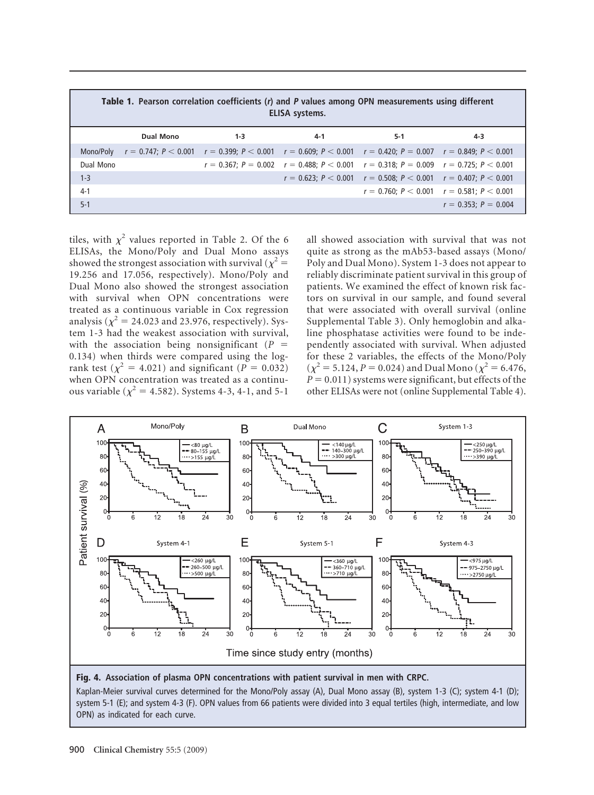| Table 1. Pearson correlation coefficients (r) and P values among OPN measurements using different<br>ELISA systems. |           |                                                                                                                                   |       |                                                                                                         |                           |  |  |  |
|---------------------------------------------------------------------------------------------------------------------|-----------|-----------------------------------------------------------------------------------------------------------------------------------|-------|---------------------------------------------------------------------------------------------------------|---------------------------|--|--|--|
|                                                                                                                     | Dual Mono | $1 - 3$                                                                                                                           | $4-1$ | $5-1$                                                                                                   | 4-3                       |  |  |  |
| Mono/Poly                                                                                                           |           | $r = 0.747$ ; $P < 0.001$ $r = 0.399$ ; $P < 0.001$ $r = 0.609$ ; $P < 0.001$ $r = 0.420$ ; $P = 0.007$ $r = 0.849$ ; $P < 0.001$ |       |                                                                                                         |                           |  |  |  |
| Dual Mono                                                                                                           |           |                                                                                                                                   |       | $r = 0.367$ ; $P = 0.002$ $r = 0.488$ ; $P < 0.001$ $r = 0.318$ ; $P = 0.009$ $r = 0.725$ ; $P < 0.001$ |                           |  |  |  |
| $1 - 3$                                                                                                             |           |                                                                                                                                   |       | $r = 0.623$ ; $P < 0.001$ $r = 0.508$ ; $P < 0.001$ $r = 0.407$ ; $P < 0.001$                           |                           |  |  |  |
| $4-1$                                                                                                               |           |                                                                                                                                   |       | $r = 0.760$ ; $P < 0.001$ $r = 0.581$ ; $P < 0.001$                                                     |                           |  |  |  |
| $5 - 1$                                                                                                             |           |                                                                                                                                   |       |                                                                                                         | $r = 0.353$ ; $P = 0.004$ |  |  |  |

tiles, with  $\chi^2$  values reported in Table 2. Of the 6 ELISAs, the Mono/Poly and Dual Mono assays showed the strongest association with survival ( $\chi^2 =$ 19.256 and 17.056, respectively). Mono/Poly and Dual Mono also showed the strongest association with survival when OPN concentrations were treated as a continuous variable in Cox regression analysis ( $\chi^2$  = 24.023 and 23.976, respectively). System 1-3 had the weakest association with survival, with the association being nonsignificant  $(P =$ 0.134) when thirds were compared using the logrank test ( $\chi^2 = 4.021$ ) and significant ( $\bar{P} = 0.032$ ) when OPN concentration was treated as a continuous variable ( $\chi^2 = 4.582$ ). Systems 4-3, 4-1, and 5-1

all showed association with survival that was not quite as strong as the mAb53-based assays (Mono/ Poly and Dual Mono). System 1-3 does not appear to reliably discriminate patient survival in this group of patients. We examined the effect of known risk factors on survival in our sample, and found several that were associated with overall survival (online Supplemental Table 3). Only hemoglobin and alkaline phosphatase activities were found to be independently associated with survival. When adjusted for these 2 variables, the effects of the Mono/Poly  $(\chi^2 = 5.124, P = 0.024)$  and Dual Mono  $(\chi^2 = 6.476,$  $P = 0.011$ ) systems were significant, but effects of the other ELISAs were not (online Supplemental Table 4).



OPN) as indicated for each curve.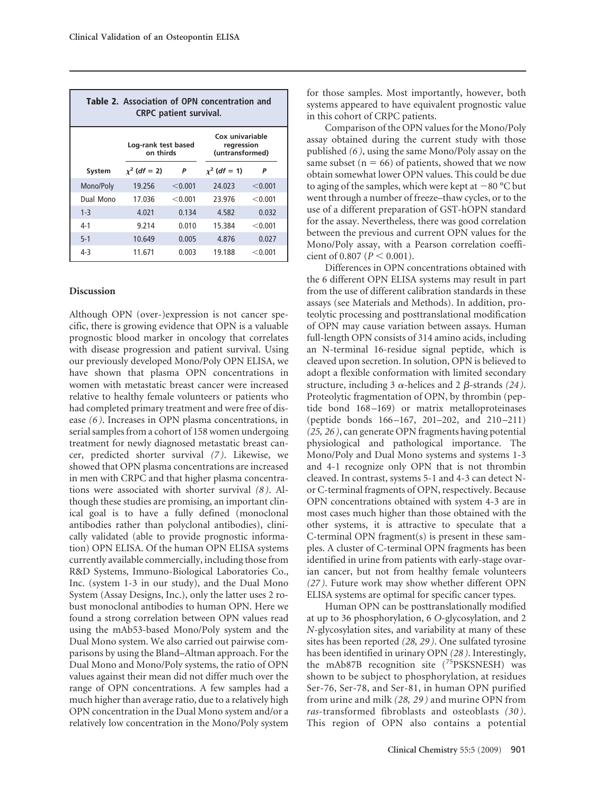| <b>Table 2.</b> Association of OPN concentration and<br><b>CRPC</b> patient survival. |                                  |         |                                                  |           |  |  |  |  |
|---------------------------------------------------------------------------------------|----------------------------------|---------|--------------------------------------------------|-----------|--|--|--|--|
|                                                                                       | Log-rank test based<br>on thirds |         | Cox univariable<br>regression<br>(untransformed) |           |  |  |  |  |
| System                                                                                | $x^2$ (df = 2)                   | P       | $x^2$ (df = 1)                                   | P         |  |  |  |  |
| Mono/Poly                                                                             | 19.256                           | < 0.001 | 24.023                                           | < 0.001   |  |  |  |  |
| Dual Mono                                                                             | 17.036                           | < 0.001 | 23.976                                           | < 0.001   |  |  |  |  |
| $1 - 3$                                                                               | 4.021                            | 0.134   | 4.582                                            | 0.032     |  |  |  |  |
| $4-1$                                                                                 | 9.214                            | 0.010   | 15.384                                           | < 0.001   |  |  |  |  |
| $5 - 1$                                                                               | 10.649                           | 0.005   | 4.876                                            | 0.027     |  |  |  |  |
| 4-3                                                                                   | 11.671                           | 0.003   | 19.188                                           | $<$ 0.001 |  |  |  |  |

## **Discussion**

Although OPN (over-)expression is not cancer specific, there is growing evidence that OPN is a valuable prognostic blood marker in oncology that correlates with disease progression and patient survival. Using our previously developed Mono/Poly OPN ELISA, we have shown that plasma OPN concentrations in women with metastatic breast cancer were increased relative to healthy female volunteers or patients who had completed primary treatment and were free of disease *(6 )*. Increases in OPN plasma concentrations, in serial samples from a cohort of 158 women undergoing treatment for newly diagnosed metastatic breast cancer, predicted shorter survival *(7 )*. Likewise, we showed that OPN plasma concentrations are increased in men with CRPC and that higher plasma concentrations were associated with shorter survival *(8 )*. Although these studies are promising, an important clinical goal is to have a fully defined (monoclonal antibodies rather than polyclonal antibodies), clinically validated (able to provide prognostic information) OPN ELISA. Of the human OPN ELISA systems currently available commercially, including those from R&D Systems, Immuno-Biological Laboratories Co., Inc. (system 1-3 in our study), and the Dual Mono System (Assay Designs, Inc.), only the latter uses 2 robust monoclonal antibodies to human OPN. Here we found a strong correlation between OPN values read using the mAb53-based Mono/Poly system and the Dual Mono system. We also carried out pairwise comparisons by using the Bland–Altman approach. For the Dual Mono and Mono/Poly systems, the ratio of OPN values against their mean did not differ much over the range of OPN concentrations. A few samples had a much higher than average ratio, due to a relatively high OPN concentration in the Dual Mono system and/or a relatively low concentration in the Mono/Poly system for those samples. Most importantly, however, both systems appeared to have equivalent prognostic value in this cohort of CRPC patients.

Comparison of the OPN values for the Mono/Poly assay obtained during the current study with those published *(6 )*, using the same Mono/Poly assay on the same subset ( $n = 66$ ) of patients, showed that we now obtain somewhat lower OPN values. This could be due to aging of the samples, which were kept at  $-80$  °C but went through a number of freeze–thaw cycles, or to the use of a different preparation of GST-hOPN standard for the assay. Nevertheless, there was good correlation between the previous and current OPN values for the Mono/Poly assay, with a Pearson correlation coefficient of 0.807 ( $P < 0.001$ ).

Differences in OPN concentrations obtained with the 6 different OPN ELISA systems may result in part from the use of different calibration standards in these assays (see Materials and Methods). In addition, proteolytic processing and posttranslational modification of OPN may cause variation between assays. Human full-length OPN consists of 314 amino acids, including an N-terminal 16-residue signal peptide, which is cleaved upon secretion. In solution, OPN is believed to adopt a flexible conformation with limited secondary structure, including 3  $\alpha$ -helices and 2  $\beta$ -strands (24). Proteolytic fragmentation of OPN, by thrombin (peptide bond 168 –169) or matrix metalloproteinases (peptide bonds 166-167, 201-202, and 210-211) *(25, 26 )*, can generate OPN fragments having potential physiological and pathological importance. The Mono/Poly and Dual Mono systems and systems 1-3 and 4-1 recognize only OPN that is not thrombin cleaved. In contrast, systems 5-1 and 4-3 can detect Nor C-terminal fragments of OPN, respectively. Because OPN concentrations obtained with system 4-3 are in most cases much higher than those obtained with the other systems, it is attractive to speculate that a C-terminal OPN fragment(s) is present in these samples. A cluster of C-terminal OPN fragments has been identified in urine from patients with early-stage ovarian cancer, but not from healthy female volunteers *(27 )*. Future work may show whether different OPN ELISA systems are optimal for specific cancer types.

Human OPN can be posttranslationally modified at up to 36 phosphorylation, 6 *O*-glycosylation, and 2 *N*-glycosylation sites, and variability at many of these sites has been reported *(28, 29 )*. One sulfated tyrosine has been identified in urinary OPN *(28 )*. Interestingly, the mAb87B recognition site (<sup>75</sup>PSKSNESH) was shown to be subject to phosphorylation, at residues Ser-76, Ser-78, and Ser-81, in human OPN purified from urine and milk *(28, 29 )* and murine OPN from *ras*-transformed fibroblasts and osteoblasts *(30 )*. This region of OPN also contains a potential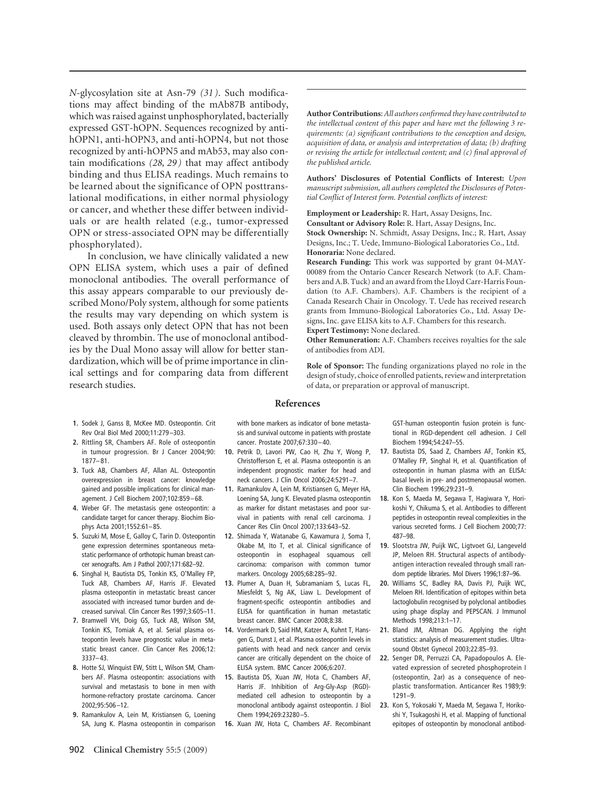*N*-glycosylation site at Asn-79 *(31 )*. Such modifications may affect binding of the mAb87B antibody, which was raised against unphosphorylated, bacterially expressed GST-hOPN. Sequences recognized by antihOPN1, anti-hOPN3, and anti-hOPN4, but not those recognized by anti-hOPN5 and mAb53, may also contain modifications *(28, 29 )* that may affect antibody binding and thus ELISA readings. Much remains to be learned about the significance of OPN posttranslational modifications, in either normal physiology or cancer, and whether these differ between individuals or are health related (e.g., tumor-expressed OPN or stress-associated OPN may be differentially phosphorylated).

In conclusion, we have clinically validated a new OPN ELISA system, which uses a pair of defined monoclonal antibodies. The overall performance of this assay appears comparable to our previously described Mono/Poly system, although for some patients the results may vary depending on which system is used. Both assays only detect OPN that has not been cleaved by thrombin. The use of monoclonal antibodies by the Dual Mono assay will allow for better standardization, which will be of prime importance in clinical settings and for comparing data from different research studies.

**Author Contributions**:*All authors confirmed they have contributed to the intellectual content of this paper and have met the following 3 requirements: (a) significant contributions to the conception and design, acquisition of data, or analysis and interpretation of data; (b) drafting or revising the article for intellectual content; and (c) final approval of the published article.*

**Authors' Disclosures of Potential Conflicts of Interest:** *Upon manuscript submission, all authors completed the Disclosures of Potential Conflict of Interest form. Potential conflicts of interest:*

**Employment or Leadership:** R. Hart, Assay Designs, Inc. **Consultant or Advisory Role:** R. Hart, Assay Designs, Inc. **Stock Ownership:** N. Schmidt, Assay Designs, Inc.; R. Hart, Assay Designs, Inc.; T. Uede, Immuno-Biological Laboratories Co., Ltd. **Honoraria:** None declared.

**Research Funding:** This work was supported by grant 04-MAY-00089 from the Ontario Cancer Research Network (to A.F. Chambers and A.B. Tuck) and an award from the Lloyd Carr-Harris Foundation (to A.F. Chambers). A.F. Chambers is the recipient of a Canada Research Chair in Oncology. T. Uede has received research grants from Immuno-Biological Laboratories Co., Ltd. Assay Designs, Inc. gave ELISA kits to A.F. Chambers for this research. **Expert Testimony:** None declared.

**Other Remuneration:** A.F. Chambers receives royalties for the sale of antibodies from ADI.

**Role of Sponsor:** The funding organizations played no role in the design of study, choice of enrolled patients, review and interpretation of data, or preparation or approval of manuscript.

## **References**

- **1.** Sodek J, Ganss B, McKee MD. Osteopontin. Crit Rev Oral Biol Med 2000;11:279 –303.
- **2.** Rittling SR, Chambers AF. Role of osteopontin in tumour progression. Br J Cancer 2004;90: 1877–81.
- **3.** Tuck AB, Chambers AF, Allan AL. Osteopontin overexpression in breast cancer: knowledge gained and possible implications for clinical management. J Cell Biochem 2007;102:859 –68.
- **4.** Weber GF. The metastasis gene osteopontin: a candidate target for cancer therapy. Biochim Biophys Acta 2001;1552:61–85.
- **5.** Suzuki M, Mose E, Galloy C, Tarin D. Osteopontin gene expression determines spontaneous metastatic performance of orthotopic human breast cancer xenografts. Am J Pathol 2007;171:682–92.
- **6.** Singhal H, Bautista DS, Tonkin KS, O'Malley FP, Tuck AB, Chambers AF, Harris JF. Elevated plasma osteopontin in metastatic breast cancer associated with increased tumor burden and decreased survival. Clin Cancer Res 1997;3:605–11.
- **7.** Bramwell VH, Doig GS, Tuck AB, Wilson SM, Tonkin KS, Tomiak A, et al. Serial plasma osteopontin levels have prognostic value in metastatic breast cancer. Clin Cancer Res 2006;12: 3337–43.
- **8.** Hotte SJ, Winquist EW, Stitt L, Wilson SM, Chambers AF. Plasma osteopontin: associations with survival and metastasis to bone in men with hormone-refractory prostate carcinoma. Cancer 2002;95:506 –12.
- **9.** Ramankulov A, Lein M, Kristiansen G, Loening SA, Jung K. Plasma osteopontin in comparison

with bone markers as indicator of bone metastasis and survival outcome in patients with prostate cancer. Prostate 2007;67:330 –40.

- **10.** Petrik D, Lavori PW, Cao H, Zhu Y, Wong P, Christofferson E, et al. Plasma osteopontin is an independent prognostic marker for head and neck cancers. J Clin Oncol 2006;24:5291–7.
- **11.** Ramankulov A, Lein M, Kristiansen G, Meyer HA, Loening SA, Jung K. Elevated plasma osteopontin as marker for distant metastases and poor survival in patients with renal cell carcinoma. J Cancer Res Clin Oncol 2007;133:643–52.
- **12.** Shimada Y, Watanabe G, Kawamura J, Soma T, Okabe M, Ito T, et al. Clinical significance of osteopontin in esophageal squamous cell carcinoma: comparison with common tumor markers. Oncology 2005;68:285–92.
- **13.** Plumer A, Duan H, Subramaniam S, Lucas FL, Miesfeldt S, Ng AK, Liaw L. Development of fragment-specific osteopontin antibodies and ELISA for quantification in human metastatic breast cancer. BMC Cancer 2008;8:38.
- **14.** Vordermark D, Said HM, Katzer A, Kuhnt T, Hansgen G, Dunst J, et al. Plasma osteopontin levels in patients with head and neck cancer and cervix cancer are critically dependent on the choice of ELISA system. BMC Cancer 2006;6:207.
- **15.** Bautista DS, Xuan JW, Hota C, Chambers AF, Harris JF. Inhibition of Arg-Gly-Asp (RGD) mediated cell adhesion to osteopontin by a monoclonal antibody against osteopontin. J Biol Chem 1994;269:23280 –5.
- **16.** Xuan JW, Hota C, Chambers AF. Recombinant

GST-human osteopontin fusion protein is functional in RGD-dependent cell adhesion. J Cell Biochem 1994;54:247–55.

- 17. Bautista DS, Saad Z, Chambers AF, Tonkin KS, O'Malley FP, Singhal H, et al. Quantification of osteopontin in human plasma with an ELISA: basal levels in pre- and postmenopausal women. Clin Biochem 1996;29:231–9.
- **18.** Kon S, Maeda M, Segawa T, Hagiwara Y, Horikoshi Y, Chikuma S, et al. Antibodies to different peptides in osteopontin reveal complexities in the various secreted forms. J Cell Biochem 2000;77: 487–98.
- **19.** Slootstra JW, Puijk WC, Ligtvoet GJ, Langeveld JP, Meloen RH. Structural aspects of antibodyantigen interaction revealed through small random peptide libraries. Mol Divers 1996;1:87–96.
- **20.** Williams SC, Badley RA, Davis PJ, Puijk WC, Meloen RH. Identification of epitopes within beta lactoglobulin recognised by polyclonal antibodies using phage display and PEPSCAN. J Immunol Methods 1998;213:1–17.
- **21.** Bland JM, Altman DG. Applying the right statistics: analysis of measurement studies. Ultrasound Obstet Gynecol 2003;22:85–93.
- **22.** Senger DR, Perruzzi CA, Papadopoulos A. Elevated expression of secreted phosphoprotein I (osteopontin, 2ar) as a consequence of neoplastic transformation. Anticancer Res 1989;9: 1291–9.
- **23.** Kon S, Yokosaki Y, Maeda M, Segawa T, Horikoshi Y, Tsukagoshi H, et al. Mapping of functional epitopes of osteopontin by monoclonal antibod-